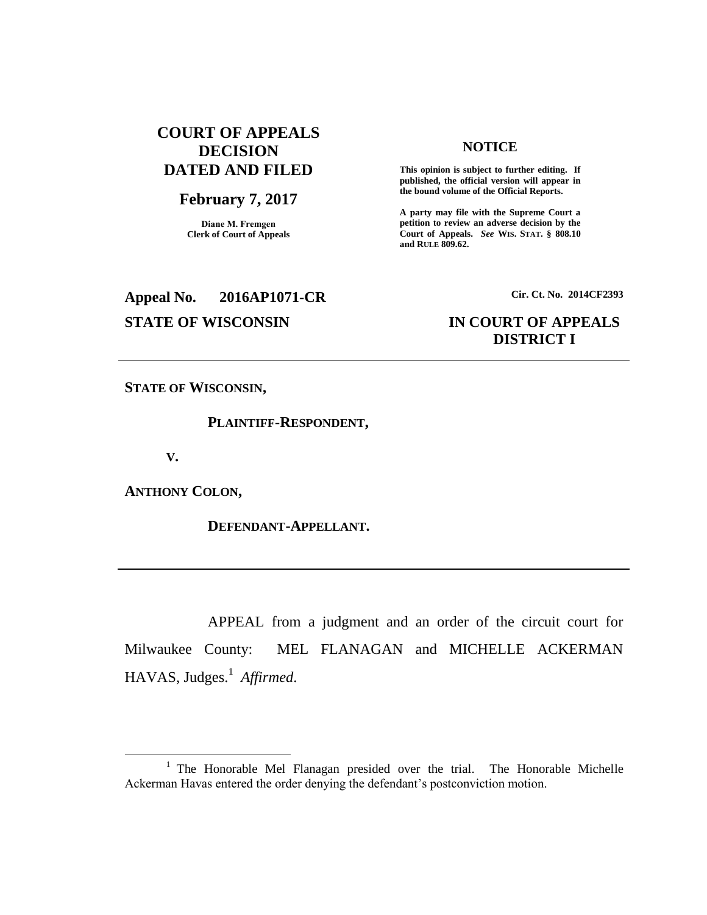### **COURT OF APPEALS DECISION DATED AND FILED**

# **February 7, 2017**

**Diane M. Fremgen Clerk of Court of Appeals**

## **NOTICE**

**This opinion is subject to further editing. If published, the official version will appear in the bound volume of the Official Reports.** 

**A party may file with the Supreme Court a petition to review an adverse decision by the Court of Appeals.** *See* **WIS. STAT. § 808.10 and RULE 809.62.** 

# **Appeal No. 2016AP1071-CR Cir. Ct. No. 2014CF2393**

### **STATE OF WISCONSIN IN COURT OF APPEALS DISTRICT I**

**STATE OF WISCONSIN,**

#### **PLAINTIFF-RESPONDENT,**

**V.**

 $\overline{a}$ 

**ANTHONY COLON,**

**DEFENDANT-APPELLANT.**

APPEAL from a judgment and an order of the circuit court for Milwaukee County: MEL FLANAGAN and MICHELLE ACKERMAN HAVAS, Judges.<sup>1</sup> Affirmed.

<sup>&</sup>lt;sup>1</sup> The Honorable Mel Flanagan presided over the trial. The Honorable Michelle Ackerman Havas entered the order denying the defendant's postconviction motion.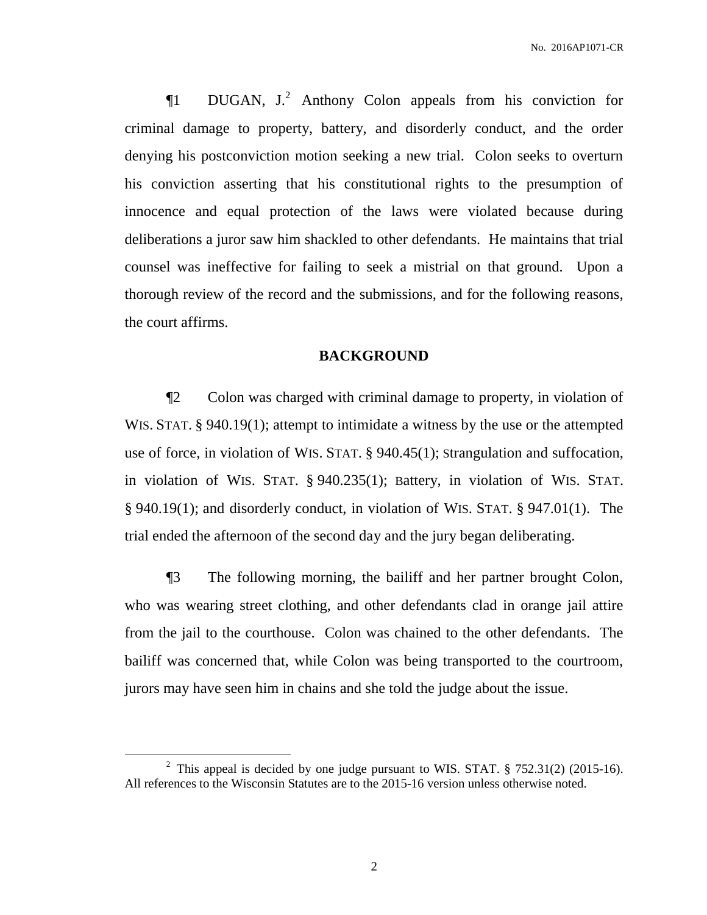$\P$ 1 DUGAN, J.<sup>2</sup> Anthony Colon appeals from his conviction for criminal damage to property, battery, and disorderly conduct, and the order denying his postconviction motion seeking a new trial. Colon seeks to overturn his conviction asserting that his constitutional rights to the presumption of innocence and equal protection of the laws were violated because during deliberations a juror saw him shackled to other defendants. He maintains that trial counsel was ineffective for failing to seek a mistrial on that ground. Upon a thorough review of the record and the submissions, and for the following reasons, the court affirms.

#### **BACKGROUND**

¶2 Colon was charged with criminal damage to property, in violation of WIS. STAT. § 940.19(1); attempt to intimidate a witness by the use or the attempted use of force, in violation of WIS. STAT. § 940.45(1); Strangulation and suffocation, in violation of WIS. STAT. § 940.235(1); Battery, in violation of WIS. STAT. § 940.19(1); and disorderly conduct, in violation of WIS. STAT. § 947.01(1). The trial ended the afternoon of the second day and the jury began deliberating.

¶3 The following morning, the bailiff and her partner brought Colon, who was wearing street clothing, and other defendants clad in orange jail attire from the jail to the courthouse. Colon was chained to the other defendants. The bailiff was concerned that, while Colon was being transported to the courtroom, jurors may have seen him in chains and she told the judge about the issue.

 $\overline{a}$ 

<sup>&</sup>lt;sup>2</sup> This appeal is decided by one judge pursuant to WIS. STAT.  $\S$  752.31(2) (2015-16). All references to the Wisconsin Statutes are to the 2015-16 version unless otherwise noted.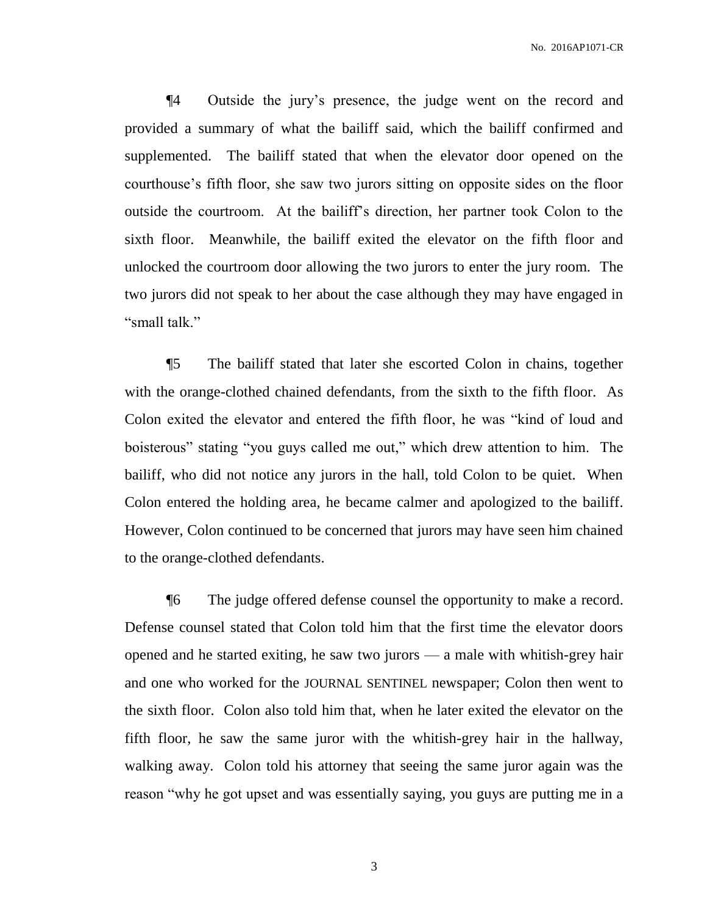¶4 Outside the jury's presence, the judge went on the record and provided a summary of what the bailiff said, which the bailiff confirmed and supplemented. The bailiff stated that when the elevator door opened on the courthouse's fifth floor, she saw two jurors sitting on opposite sides on the floor outside the courtroom. At the bailiff's direction, her partner took Colon to the sixth floor. Meanwhile, the bailiff exited the elevator on the fifth floor and unlocked the courtroom door allowing the two jurors to enter the jury room. The two jurors did not speak to her about the case although they may have engaged in "small talk."

¶5 The bailiff stated that later she escorted Colon in chains, together with the orange-clothed chained defendants, from the sixth to the fifth floor. As Colon exited the elevator and entered the fifth floor, he was "kind of loud and boisterous" stating "you guys called me out," which drew attention to him. The bailiff, who did not notice any jurors in the hall, told Colon to be quiet. When Colon entered the holding area, he became calmer and apologized to the bailiff. However, Colon continued to be concerned that jurors may have seen him chained to the orange-clothed defendants.

¶6 The judge offered defense counsel the opportunity to make a record. Defense counsel stated that Colon told him that the first time the elevator doors opened and he started exiting, he saw two jurors — a male with whitish-grey hair and one who worked for the JOURNAL SENTINEL newspaper; Colon then went to the sixth floor. Colon also told him that, when he later exited the elevator on the fifth floor, he saw the same juror with the whitish-grey hair in the hallway, walking away. Colon told his attorney that seeing the same juror again was the reason "why he got upset and was essentially saying, you guys are putting me in a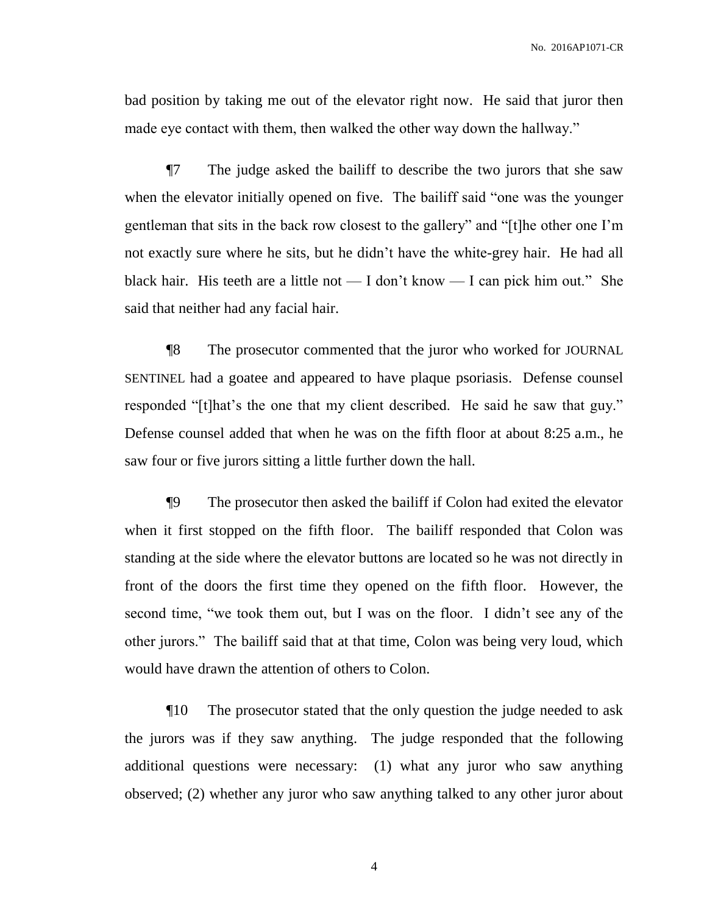bad position by taking me out of the elevator right now. He said that juror then made eye contact with them, then walked the other way down the hallway."

¶7 The judge asked the bailiff to describe the two jurors that she saw when the elevator initially opened on five. The bailiff said "one was the younger gentleman that sits in the back row closest to the gallery" and "[t]he other one I'm not exactly sure where he sits, but he didn't have the white-grey hair. He had all black hair. His teeth are a little not — I don't know — I can pick him out." She said that neither had any facial hair.

¶8 The prosecutor commented that the juror who worked for JOURNAL SENTINEL had a goatee and appeared to have plaque psoriasis. Defense counsel responded "[t]hat's the one that my client described. He said he saw that guy." Defense counsel added that when he was on the fifth floor at about 8:25 a.m., he saw four or five jurors sitting a little further down the hall.

¶9 The prosecutor then asked the bailiff if Colon had exited the elevator when it first stopped on the fifth floor. The bailiff responded that Colon was standing at the side where the elevator buttons are located so he was not directly in front of the doors the first time they opened on the fifth floor. However, the second time, "we took them out, but I was on the floor. I didn't see any of the other jurors." The bailiff said that at that time, Colon was being very loud, which would have drawn the attention of others to Colon.

¶10 The prosecutor stated that the only question the judge needed to ask the jurors was if they saw anything. The judge responded that the following additional questions were necessary: (1) what any juror who saw anything observed; (2) whether any juror who saw anything talked to any other juror about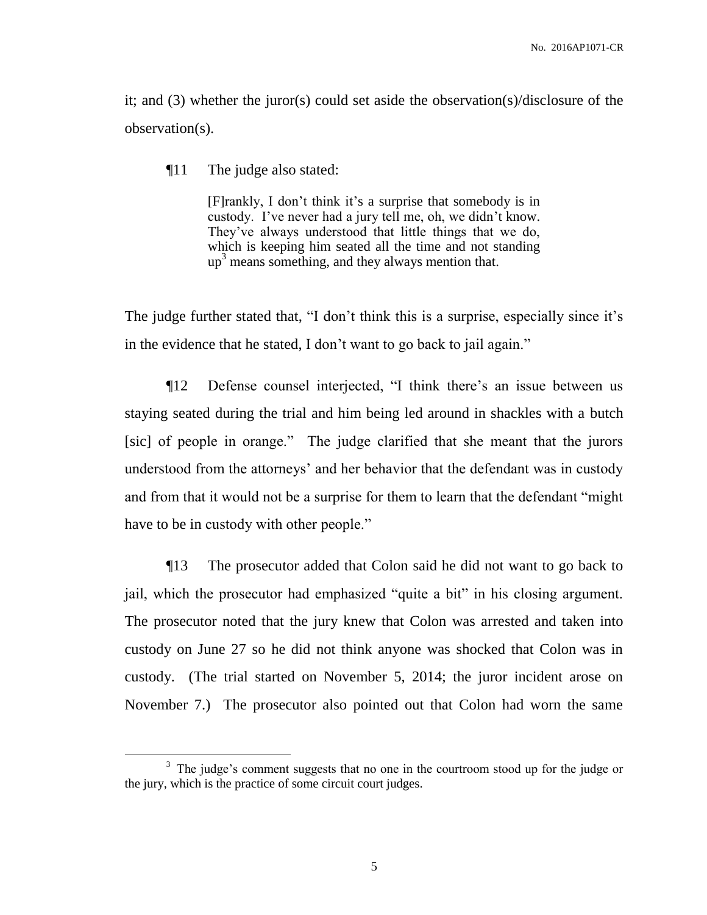it; and (3) whether the juror(s) could set aside the observation(s)/disclosure of the observation(s).

¶11 The judge also stated:

 $\overline{a}$ 

[F]rankly, I don't think it's a surprise that somebody is in custody. I've never had a jury tell me, oh, we didn't know. They've always understood that little things that we do, which is keeping him seated all the time and not standing  $up<sup>3</sup>$  means something, and they always mention that.

The judge further stated that, "I don't think this is a surprise, especially since it's in the evidence that he stated, I don't want to go back to jail again."

¶12 Defense counsel interjected, "I think there's an issue between us staying seated during the trial and him being led around in shackles with a butch [sic] of people in orange." The judge clarified that she meant that the jurors understood from the attorneys' and her behavior that the defendant was in custody and from that it would not be a surprise for them to learn that the defendant "might have to be in custody with other people."

¶13 The prosecutor added that Colon said he did not want to go back to jail, which the prosecutor had emphasized "quite a bit" in his closing argument. The prosecutor noted that the jury knew that Colon was arrested and taken into custody on June 27 so he did not think anyone was shocked that Colon was in custody. (The trial started on November 5, 2014; the juror incident arose on November 7.) The prosecutor also pointed out that Colon had worn the same

<sup>&</sup>lt;sup>3</sup> The judge's comment suggests that no one in the courtroom stood up for the judge or the jury, which is the practice of some circuit court judges.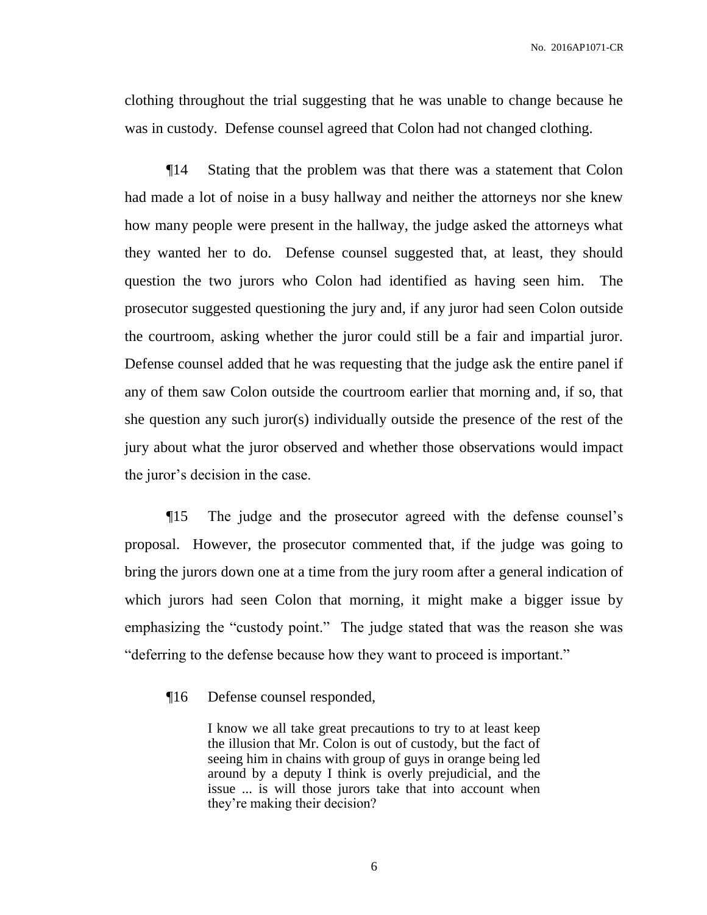clothing throughout the trial suggesting that he was unable to change because he was in custody. Defense counsel agreed that Colon had not changed clothing.

¶14 Stating that the problem was that there was a statement that Colon had made a lot of noise in a busy hallway and neither the attorneys nor she knew how many people were present in the hallway, the judge asked the attorneys what they wanted her to do. Defense counsel suggested that, at least, they should question the two jurors who Colon had identified as having seen him. The prosecutor suggested questioning the jury and, if any juror had seen Colon outside the courtroom, asking whether the juror could still be a fair and impartial juror. Defense counsel added that he was requesting that the judge ask the entire panel if any of them saw Colon outside the courtroom earlier that morning and, if so, that she question any such juror(s) individually outside the presence of the rest of the jury about what the juror observed and whether those observations would impact the juror's decision in the case.

¶15 The judge and the prosecutor agreed with the defense counsel's proposal. However, the prosecutor commented that, if the judge was going to bring the jurors down one at a time from the jury room after a general indication of which jurors had seen Colon that morning, it might make a bigger issue by emphasizing the "custody point." The judge stated that was the reason she was "deferring to the defense because how they want to proceed is important."

¶16 Defense counsel responded,

I know we all take great precautions to try to at least keep the illusion that Mr. Colon is out of custody, but the fact of seeing him in chains with group of guys in orange being led around by a deputy I think is overly prejudicial, and the issue ... is will those jurors take that into account when they're making their decision?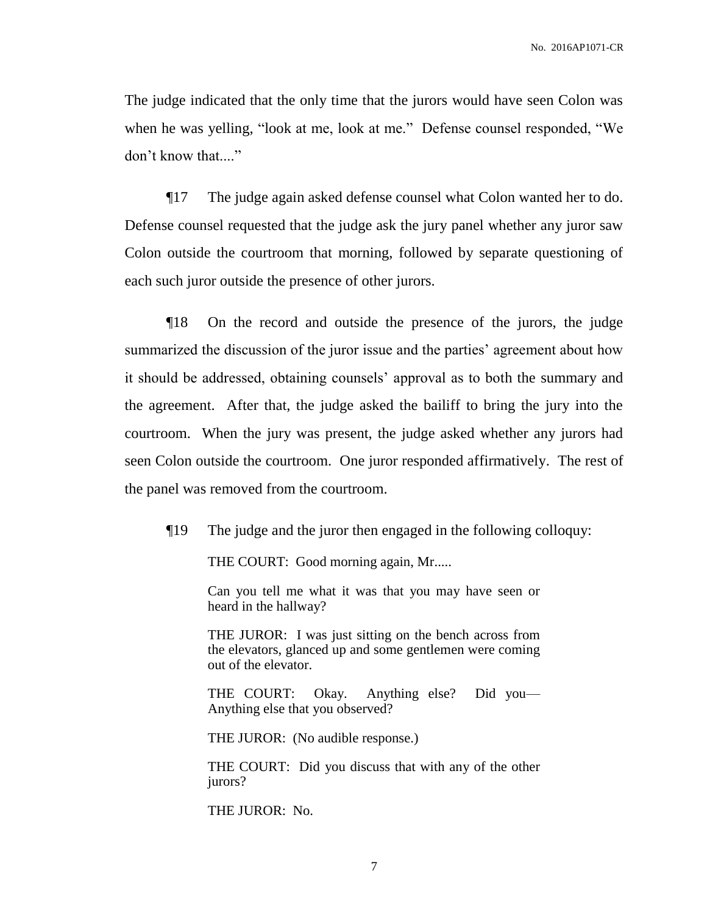The judge indicated that the only time that the jurors would have seen Colon was when he was yelling, "look at me, look at me." Defense counsel responded, "We don't know that...."

¶17 The judge again asked defense counsel what Colon wanted her to do. Defense counsel requested that the judge ask the jury panel whether any juror saw Colon outside the courtroom that morning, followed by separate questioning of each such juror outside the presence of other jurors.

¶18 On the record and outside the presence of the jurors, the judge summarized the discussion of the juror issue and the parties' agreement about how it should be addressed, obtaining counsels' approval as to both the summary and the agreement. After that, the judge asked the bailiff to bring the jury into the courtroom. When the jury was present, the judge asked whether any jurors had seen Colon outside the courtroom. One juror responded affirmatively. The rest of the panel was removed from the courtroom.

¶19 The judge and the juror then engaged in the following colloquy:

THE COURT: Good morning again, Mr.....

Can you tell me what it was that you may have seen or heard in the hallway?

THE JUROR: I was just sitting on the bench across from the elevators, glanced up and some gentlemen were coming out of the elevator.

THE COURT: Okay. Anything else? Did you— Anything else that you observed?

THE JUROR: (No audible response.)

THE COURT: Did you discuss that with any of the other jurors?

THE JUROR: No.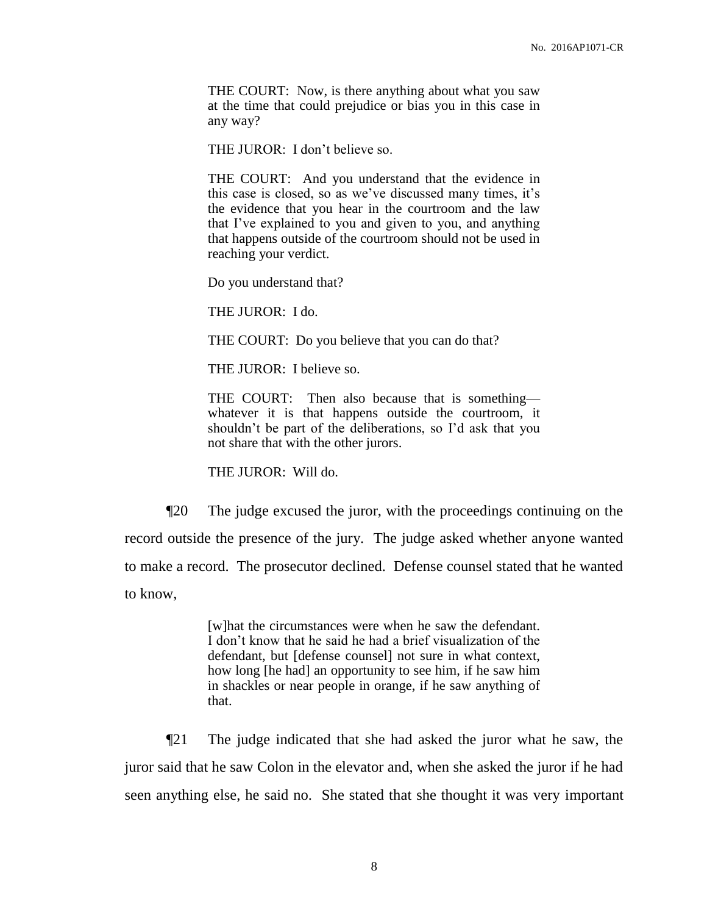THE COURT: Now, is there anything about what you saw at the time that could prejudice or bias you in this case in any way?

THE JUROR: I don't believe so.

THE COURT: And you understand that the evidence in this case is closed, so as we've discussed many times, it's the evidence that you hear in the courtroom and the law that I've explained to you and given to you, and anything that happens outside of the courtroom should not be used in reaching your verdict.

Do you understand that?

THE JUROR: I do.

THE COURT: Do you believe that you can do that?

THE JUROR: I believe so.

THE COURT: Then also because that is something whatever it is that happens outside the courtroom, it shouldn't be part of the deliberations, so I'd ask that you not share that with the other jurors.

THE JUROR: Will do.

¶20 The judge excused the juror, with the proceedings continuing on the record outside the presence of the jury. The judge asked whether anyone wanted to make a record. The prosecutor declined. Defense counsel stated that he wanted to know,

> [w]hat the circumstances were when he saw the defendant. I don't know that he said he had a brief visualization of the defendant, but [defense counsel] not sure in what context, how long [he had] an opportunity to see him, if he saw him in shackles or near people in orange, if he saw anything of that.

¶21 The judge indicated that she had asked the juror what he saw, the juror said that he saw Colon in the elevator and, when she asked the juror if he had seen anything else, he said no. She stated that she thought it was very important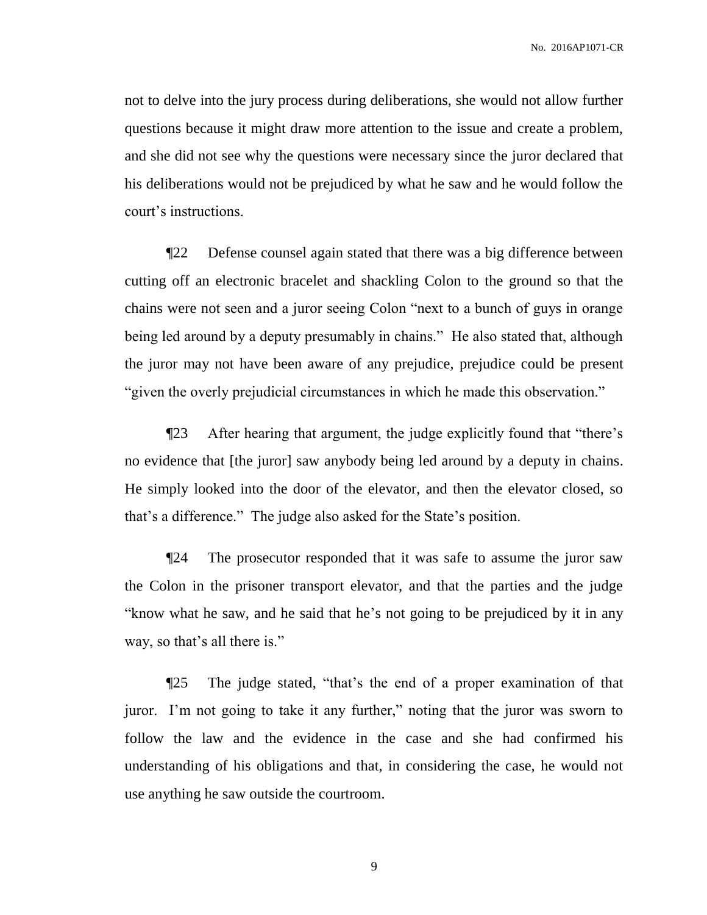not to delve into the jury process during deliberations, she would not allow further questions because it might draw more attention to the issue and create a problem, and she did not see why the questions were necessary since the juror declared that his deliberations would not be prejudiced by what he saw and he would follow the court's instructions.

¶22 Defense counsel again stated that there was a big difference between cutting off an electronic bracelet and shackling Colon to the ground so that the chains were not seen and a juror seeing Colon "next to a bunch of guys in orange being led around by a deputy presumably in chains." He also stated that, although the juror may not have been aware of any prejudice, prejudice could be present "given the overly prejudicial circumstances in which he made this observation."

¶23 After hearing that argument, the judge explicitly found that "there's no evidence that [the juror] saw anybody being led around by a deputy in chains. He simply looked into the door of the elevator, and then the elevator closed, so that's a difference." The judge also asked for the State's position.

¶24 The prosecutor responded that it was safe to assume the juror saw the Colon in the prisoner transport elevator, and that the parties and the judge "know what he saw, and he said that he's not going to be prejudiced by it in any way, so that's all there is."

¶25 The judge stated, "that's the end of a proper examination of that juror. I'm not going to take it any further," noting that the juror was sworn to follow the law and the evidence in the case and she had confirmed his understanding of his obligations and that, in considering the case, he would not use anything he saw outside the courtroom.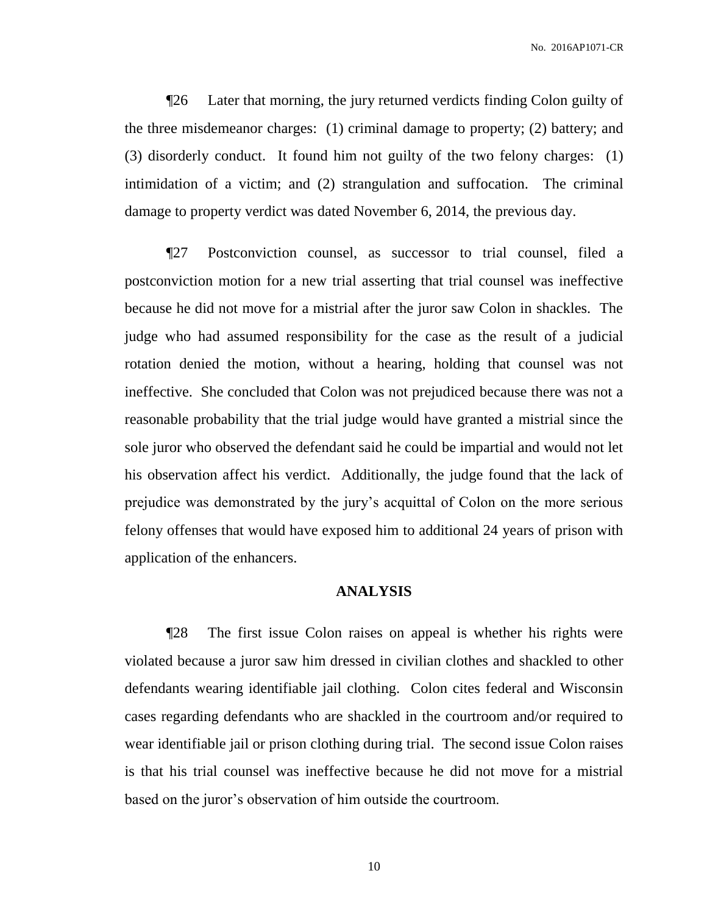¶26 Later that morning, the jury returned verdicts finding Colon guilty of the three misdemeanor charges: (1) criminal damage to property; (2) battery; and (3) disorderly conduct. It found him not guilty of the two felony charges: (1) intimidation of a victim; and (2) strangulation and suffocation. The criminal damage to property verdict was dated November 6, 2014, the previous day.

¶27 Postconviction counsel, as successor to trial counsel, filed a postconviction motion for a new trial asserting that trial counsel was ineffective because he did not move for a mistrial after the juror saw Colon in shackles. The judge who had assumed responsibility for the case as the result of a judicial rotation denied the motion, without a hearing, holding that counsel was not ineffective. She concluded that Colon was not prejudiced because there was not a reasonable probability that the trial judge would have granted a mistrial since the sole juror who observed the defendant said he could be impartial and would not let his observation affect his verdict. Additionally, the judge found that the lack of prejudice was demonstrated by the jury's acquittal of Colon on the more serious felony offenses that would have exposed him to additional 24 years of prison with application of the enhancers.

#### **ANALYSIS**

¶28 The first issue Colon raises on appeal is whether his rights were violated because a juror saw him dressed in civilian clothes and shackled to other defendants wearing identifiable jail clothing. Colon cites federal and Wisconsin cases regarding defendants who are shackled in the courtroom and/or required to wear identifiable jail or prison clothing during trial. The second issue Colon raises is that his trial counsel was ineffective because he did not move for a mistrial based on the juror's observation of him outside the courtroom.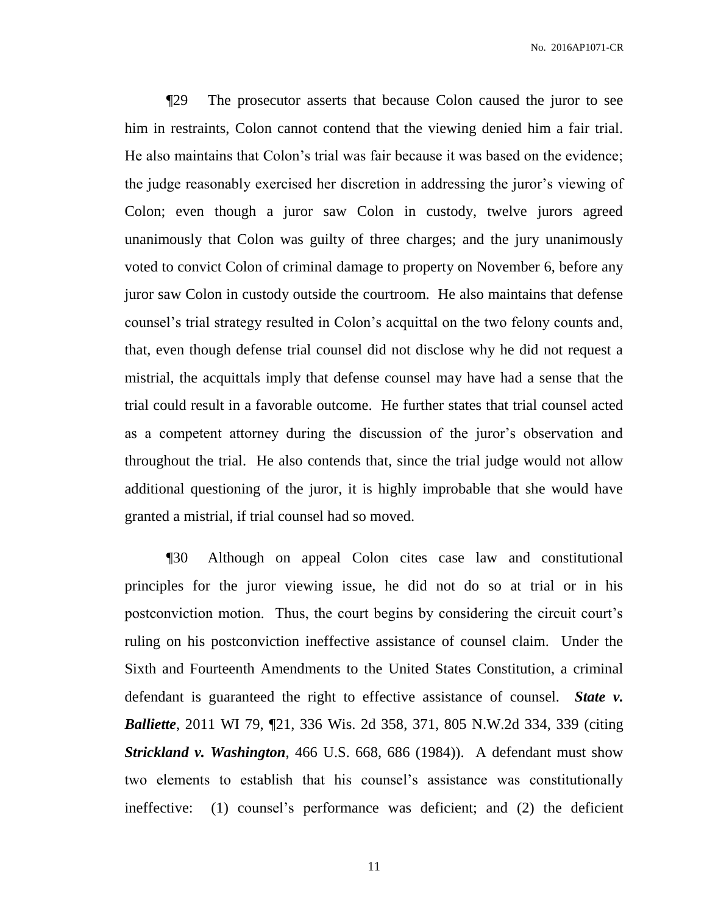¶29 The prosecutor asserts that because Colon caused the juror to see him in restraints, Colon cannot contend that the viewing denied him a fair trial. He also maintains that Colon's trial was fair because it was based on the evidence; the judge reasonably exercised her discretion in addressing the juror's viewing of Colon; even though a juror saw Colon in custody, twelve jurors agreed unanimously that Colon was guilty of three charges; and the jury unanimously voted to convict Colon of criminal damage to property on November 6, before any juror saw Colon in custody outside the courtroom. He also maintains that defense counsel's trial strategy resulted in Colon's acquittal on the two felony counts and, that, even though defense trial counsel did not disclose why he did not request a mistrial, the acquittals imply that defense counsel may have had a sense that the trial could result in a favorable outcome. He further states that trial counsel acted as a competent attorney during the discussion of the juror's observation and throughout the trial. He also contends that, since the trial judge would not allow additional questioning of the juror, it is highly improbable that she would have granted a mistrial, if trial counsel had so moved.

¶30 Although on appeal Colon cites case law and constitutional principles for the juror viewing issue, he did not do so at trial or in his postconviction motion. Thus, the court begins by considering the circuit court's ruling on his postconviction ineffective assistance of counsel claim. Under the Sixth and Fourteenth Amendments to the United States Constitution, a criminal defendant is guaranteed the right to effective assistance of counsel. *State v. Balliette*, 2011 WI 79, ¶21, 336 Wis. 2d 358, 371, 805 N.W.2d 334, 339 (citing *Strickland v. Washington*, 466 U.S. 668, 686 (1984)). A defendant must show two elements to establish that his counsel's assistance was constitutionally ineffective: (1) counsel's performance was deficient; and (2) the deficient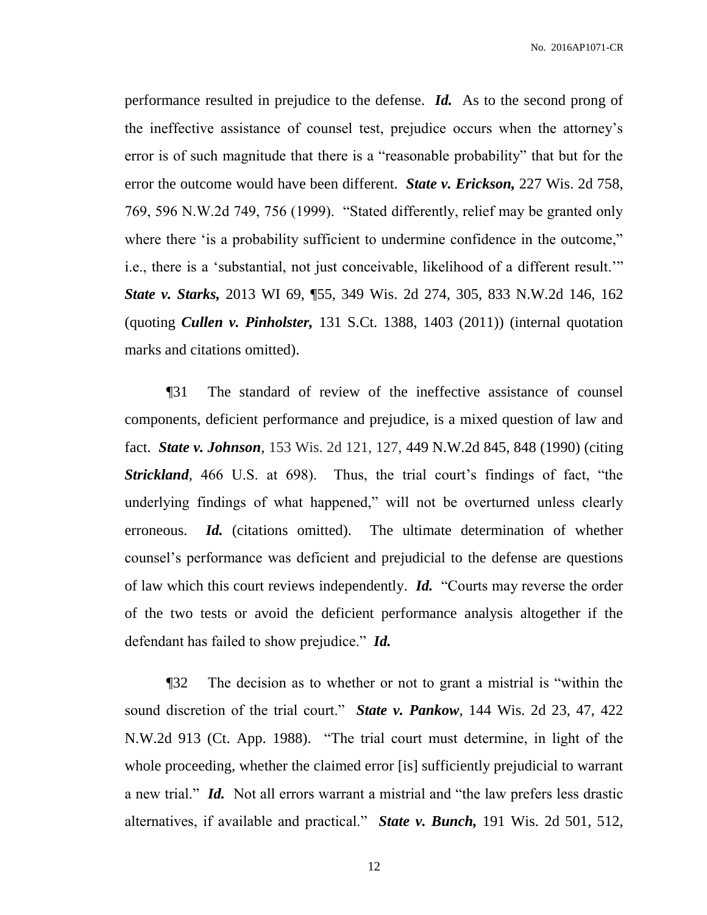performance resulted in prejudice to the defense. *Id.* As to the second prong of the ineffective assistance of counsel test, prejudice occurs when the attorney's error is of such magnitude that there is a "reasonable probability" that but for the error the outcome would have been different. *State v. Erickson,* 227 Wis. 2d 758, 769, 596 N.W.2d 749, 756 (1999). "Stated differently, relief may be granted only where there 'is a probability sufficient to undermine confidence in the outcome," i.e., there is a 'substantial, not just conceivable, likelihood of a different result.'" *State v. Starks,* 2013 WI 69, ¶55, 349 Wis. 2d 274, 305, 833 N.W.2d 146, 162 (quoting *Cullen v. Pinholster,* 131 S.Ct. 1388, 1403 (2011)) (internal quotation marks and citations omitted).

¶31 The standard of review of the ineffective assistance of counsel components, deficient performance and prejudice, is a mixed question of law and fact. *State v. Johnson*, 153 Wis. 2d 121, 127, 449 N.W.2d 845, 848 (1990) (citing *Strickland,* 466 U.S. at 698). Thus, the trial court's findings of fact, "the underlying findings of what happened," will not be overturned unless clearly erroneous. *Id.* (citations omitted). The ultimate determination of whether counsel's performance was deficient and prejudicial to the defense are questions of law which this court reviews independently. *Id.* "Courts may reverse the order of the two tests or avoid the deficient performance analysis altogether if the defendant has failed to show prejudice." *Id.*

¶32 The decision as to whether or not to grant a mistrial is "within the sound discretion of the trial court." *State v. Pankow,* 144 Wis. 2d 23, 47, 422 N.W.2d 913 (Ct. App. 1988). "The trial court must determine, in light of the whole proceeding, whether the claimed error [is] sufficiently prejudicial to warrant a new trial." *Id.* Not all errors warrant a mistrial and "the law prefers less drastic alternatives, if available and practical." *State v. Bunch,* 191 Wis. 2d 501, 512,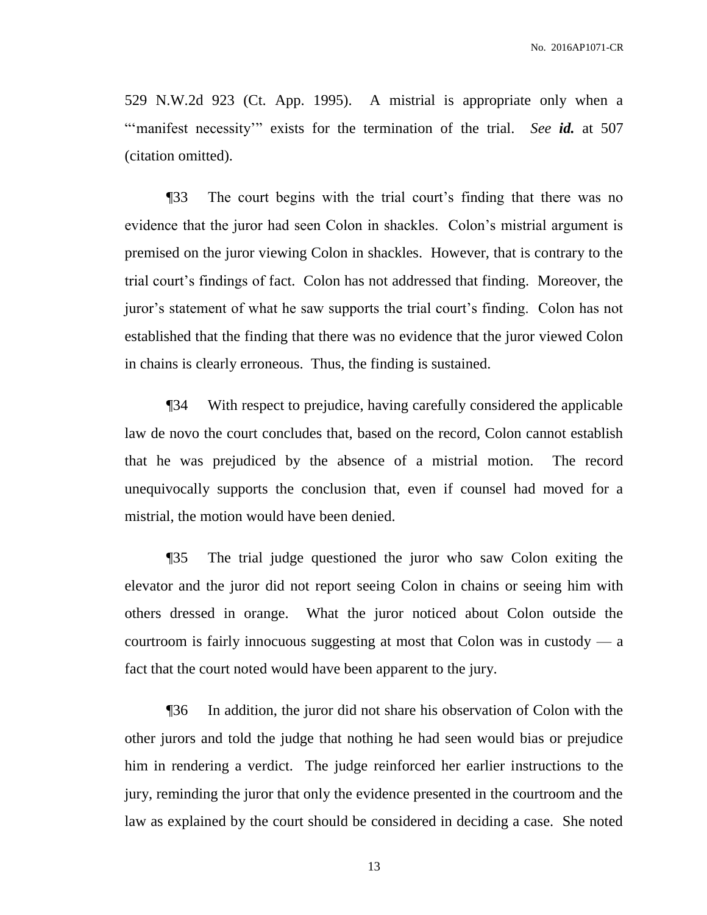529 N.W.2d 923 (Ct. App. 1995). A mistrial is appropriate only when a ""manifest necessity" exists for the termination of the trial. *See id.* at 507 (citation omitted).

¶33 The court begins with the trial court's finding that there was no evidence that the juror had seen Colon in shackles. Colon's mistrial argument is premised on the juror viewing Colon in shackles. However, that is contrary to the trial court's findings of fact. Colon has not addressed that finding. Moreover, the juror's statement of what he saw supports the trial court's finding. Colon has not established that the finding that there was no evidence that the juror viewed Colon in chains is clearly erroneous. Thus, the finding is sustained.

¶34 With respect to prejudice, having carefully considered the applicable law de novo the court concludes that, based on the record, Colon cannot establish that he was prejudiced by the absence of a mistrial motion. The record unequivocally supports the conclusion that, even if counsel had moved for a mistrial, the motion would have been denied.

¶35 The trial judge questioned the juror who saw Colon exiting the elevator and the juror did not report seeing Colon in chains or seeing him with others dressed in orange. What the juror noticed about Colon outside the courtroom is fairly innocuous suggesting at most that Colon was in custody  $-$  a fact that the court noted would have been apparent to the jury.

¶36 In addition, the juror did not share his observation of Colon with the other jurors and told the judge that nothing he had seen would bias or prejudice him in rendering a verdict. The judge reinforced her earlier instructions to the jury, reminding the juror that only the evidence presented in the courtroom and the law as explained by the court should be considered in deciding a case. She noted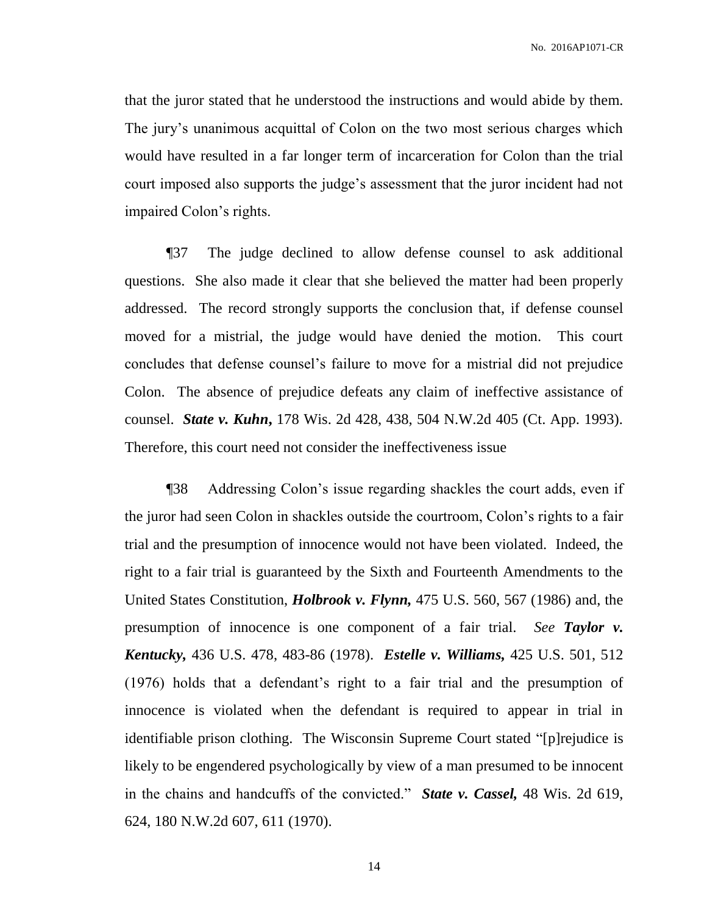that the juror stated that he understood the instructions and would abide by them. The jury's unanimous acquittal of Colon on the two most serious charges which would have resulted in a far longer term of incarceration for Colon than the trial court imposed also supports the judge's assessment that the juror incident had not impaired Colon's rights.

¶37 The judge declined to allow defense counsel to ask additional questions. She also made it clear that she believed the matter had been properly addressed. The record strongly supports the conclusion that, if defense counsel moved for a mistrial, the judge would have denied the motion. This court concludes that defense counsel's failure to move for a mistrial did not prejudice Colon. The absence of prejudice defeats any claim of ineffective assistance of counsel. *State v. Kuhn***,** 178 Wis. 2d 428, 438, 504 N.W.2d 405 (Ct. App. 1993). Therefore, this court need not consider the ineffectiveness issue

¶38 Addressing Colon's issue regarding shackles the court adds, even if the juror had seen Colon in shackles outside the courtroom, Colon's rights to a fair trial and the presumption of innocence would not have been violated. Indeed, the right to a fair trial is guaranteed by the Sixth and Fourteenth Amendments to the United States Constitution, *Holbrook v. Flynn,* 475 U.S. 560, 567 (1986) and, the presumption of innocence is one component of a fair trial. *See Taylor v. Kentucky,* 436 U.S. 478, 483-86 (1978). *Estelle v. Williams,* 425 U.S. 501, 512 (1976) holds that a defendant's right to a fair trial and the presumption of innocence is violated when the defendant is required to appear in trial in identifiable prison clothing. The Wisconsin Supreme Court stated "[p]rejudice is likely to be engendered psychologically by view of a man presumed to be innocent in the chains and handcuffs of the convicted." *State v. Cassel,* 48 Wis. 2d 619, 624, 180 N.W.2d 607, 611 (1970).